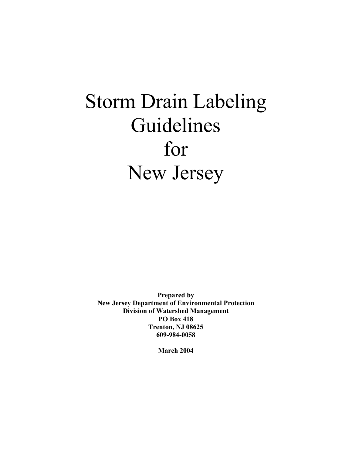# Storm Drain Labeling Guidelines for New Jersey

**Prepared by New Jersey Department of Environmental Protection Division of Watershed Management PO Box 418 Trenton, NJ 08625 609-984-0058** 

**March 2004**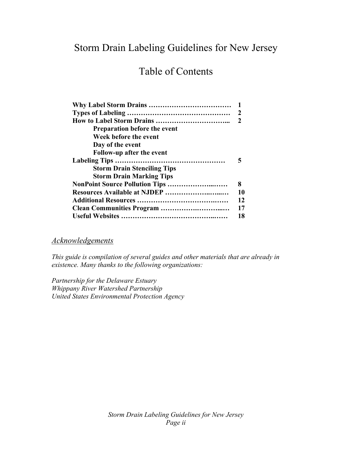# Storm Drain Labeling Guidelines for New Jersey

# Table of Contents

|                                     | 2  |
|-------------------------------------|----|
|                                     | 2  |
| <b>Preparation before the event</b> |    |
| Week before the event               |    |
| Day of the event                    |    |
| Follow-up after the event           |    |
|                                     |    |
| <b>Storm Drain Stenciling Tips</b>  |    |
| <b>Storm Drain Marking Tips</b>     |    |
| NonPoint Source Pollution Tips      | 8  |
| Resources Available at NJDEP        | 10 |
|                                     | 12 |
|                                     | 17 |
|                                     | 18 |

# *Acknowledgements*

*This guide is compilation of several guides and other materials that are already in existence. Many thanks to the following organizations:* 

*Partnership for the Delaware Estuary Whippany River Watershed Partnership United States Environmental Protection Agency*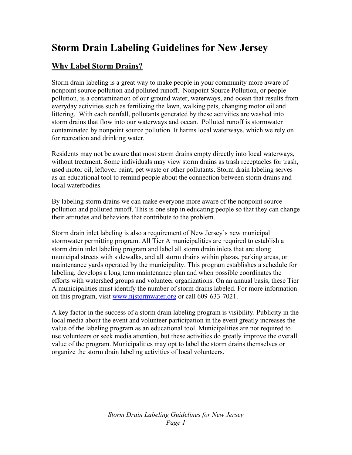# **Storm Drain Labeling Guidelines for New Jersey**

# **Why Label Storm Drains?**

Storm drain labeling is a great way to make people in your community more aware of nonpoint source pollution and polluted runoff. Nonpoint Source Pollution, or people pollution, is a contamination of our ground water, waterways, and ocean that results from everyday activities such as fertilizing the lawn, walking pets, changing motor oil and littering. With each rainfall, pollutants generated by these activities are washed into storm drains that flow into our waterways and ocean. Polluted runoff is stormwater contaminated by nonpoint source pollution. It harms local waterways, which we rely on for recreation and drinking water.

Residents may not be aware that most storm drains empty directly into local waterways, without treatment. Some individuals may view storm drains as trash receptacles for trash, used motor oil, leftover paint, pet waste or other pollutants. Storm drain labeling serves as an educational tool to remind people about the connection between storm drains and local waterbodies.

By labeling storm drains we can make everyone more aware of the nonpoint source pollution and polluted runoff. This is one step in educating people so that they can change their attitudes and behaviors that contribute to the problem.

Storm drain inlet labeling is also a requirement of New Jersey's new municipal stormwater permitting program. All Tier A municipalities are required to establish a storm drain inlet labeling program and label all storm drain inlets that are along municipal streets with sidewalks, and all storm drains within plazas, parking areas, or maintenance yards operated by the municipality. This program establishes a schedule for labeling, develops a long term maintenance plan and when possible coordinates the efforts with watershed groups and volunteer organizations. On an annual basis, these Tier A municipalities must identify the number of storm drains labeled. For more information on this program, visit [www.njstormwater.org](http://www.njstormwater.org/) or call 609-633-7021.

A key factor in the success of a storm drain labeling program is visibility. Publicity in the local media about the event and volunteer participation in the event greatly increases the value of the labeling program as an educational tool. Municipalities are not required to use volunteers or seek media attention, but these activities do greatly improve the overall value of the program. Municipalities may opt to label the storm drains themselves or organize the storm drain labeling activities of local volunteers.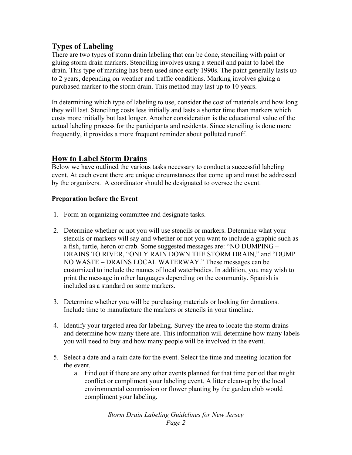# **Types of Labeling**

There are two types of storm drain labeling that can be done, stenciling with paint or gluing storm drain markers. Stenciling involves using a stencil and paint to label the drain. This type of marking has been used since early 1990s. The paint generally lasts up to 2 years, depending on weather and traffic conditions. Marking involves gluing a purchased marker to the storm drain. This method may last up to 10 years.

In determining which type of labeling to use, consider the cost of materials and how long they will last. Stenciling costs less initially and lasts a shorter time than markers which costs more initially but last longer. Another consideration is the educational value of the actual labeling process for the participants and residents. Since stenciling is done more frequently, it provides a more frequent reminder about polluted runoff.

# **How to Label Storm Drains**

Below we have outlined the various tasks necessary to conduct a successful labeling event. At each event there are unique circumstances that come up and must be addressed by the organizers. A coordinator should be designated to oversee the event.

# **Preparation before the Event**

- 1. Form an organizing committee and designate tasks.
- 2. Determine whether or not you will use stencils or markers. Determine what your stencils or markers will say and whether or not you want to include a graphic such as a fish, turtle, heron or crab. Some suggested messages are: "NO DUMPING – DRAINS TO RIVER, "ONLY RAIN DOWN THE STORM DRAIN," and "DUMP NO WASTE – DRAINS LOCAL WATERWAY." These messages can be customized to include the names of local waterbodies. In addition, you may wish to print the message in other languages depending on the community. Spanish is included as a standard on some markers.
- 3. Determine whether you will be purchasing materials or looking for donations. Include time to manufacture the markers or stencils in your timeline.
- 4. Identify your targeted area for labeling. Survey the area to locate the storm drains and determine how many there are. This information will determine how many labels you will need to buy and how many people will be involved in the event.
- 5. Select a date and a rain date for the event. Select the time and meeting location for the event.
	- a. Find out if there are any other events planned for that time period that might conflict or compliment your labeling event. A litter clean-up by the local environmental commission or flower planting by the garden club would compliment your labeling.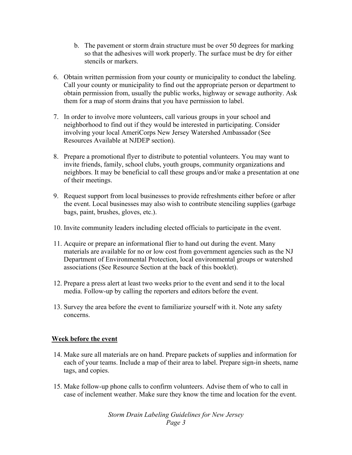- b. The pavement or storm drain structure must be over 50 degrees for marking so that the adhesives will work properly. The surface must be dry for either stencils or markers.
- 6. Obtain written permission from your county or municipality to conduct the labeling. Call your county or municipality to find out the appropriate person or department to obtain permission from, usually the public works, highway or sewage authority. Ask them for a map of storm drains that you have permission to label.
- 7. In order to involve more volunteers, call various groups in your school and neighborhood to find out if they would be interested in participating. Consider involving your local AmeriCorps New Jersey Watershed Ambassador (See Resources Available at NJDEP section).
- 8. Prepare a promotional flyer to distribute to potential volunteers. You may want to invite friends, family, school clubs, youth groups, community organizations and neighbors. It may be beneficial to call these groups and/or make a presentation at one of their meetings.
- 9. Request support from local businesses to provide refreshments either before or after the event. Local businesses may also wish to contribute stenciling supplies (garbage bags, paint, brushes, gloves, etc.).
- 10. Invite community leaders including elected officials to participate in the event.
- 11. Acquire or prepare an informational flier to hand out during the event. Many materials are available for no or low cost from government agencies such as the NJ Department of Environmental Protection, local environmental groups or watershed associations (See Resource Section at the back of this booklet).
- 12. Prepare a press alert at least two weeks prior to the event and send it to the local media. Follow-up by calling the reporters and editors before the event.
- 13. Survey the area before the event to familiarize yourself with it. Note any safety concerns.

## **Week before the event**

- 14. Make sure all materials are on hand. Prepare packets of supplies and information for each of your teams. Include a map of their area to label. Prepare sign-in sheets, name tags, and copies.
- 15. Make follow-up phone calls to confirm volunteers. Advise them of who to call in case of inclement weather. Make sure they know the time and location for the event.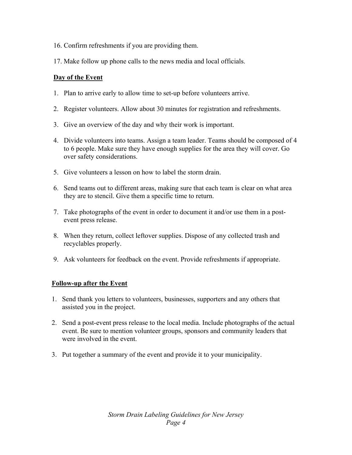- 16. Confirm refreshments if you are providing them.
- 17. Make follow up phone calls to the news media and local officials.

# **Day of the Event**

- 1. Plan to arrive early to allow time to set-up before volunteers arrive.
- 2. Register volunteers. Allow about 30 minutes for registration and refreshments.
- 3. Give an overview of the day and why their work is important.
- 4. Divide volunteers into teams. Assign a team leader. Teams should be composed of 4 to 6 people. Make sure they have enough supplies for the area they will cover. Go over safety considerations.
- 5. Give volunteers a lesson on how to label the storm drain.
- 6. Send teams out to different areas, making sure that each team is clear on what area they are to stencil. Give them a specific time to return.
- 7. Take photographs of the event in order to document it and/or use them in a postevent press release.
- 8. When they return, collect leftover supplies. Dispose of any collected trash and recyclables properly.
- 9. Ask volunteers for feedback on the event. Provide refreshments if appropriate.

# **Follow-up after the Event**

- 1. Send thank you letters to volunteers, businesses, supporters and any others that assisted you in the project.
- 2. Send a post-event press release to the local media. Include photographs of the actual event. Be sure to mention volunteer groups, sponsors and community leaders that were involved in the event.
- 3. Put together a summary of the event and provide it to your municipality.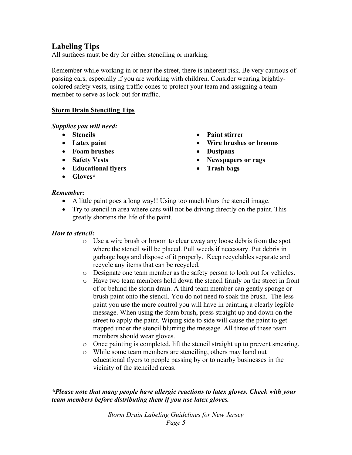# **Labeling Tips**

All surfaces must be dry for either stenciling or marking.

Remember while working in or near the street, there is inherent risk. Be very cautious of passing cars, especially if you are working with children. Consider wearing brightlycolored safety vests, using traffic cones to protect your team and assigning a team member to serve as look-out for traffic.

# **Storm Drain Stenciling Tips**

*Supplies you will need:* 

- **Stencils**
- **Latex paint**
- **Foam brushes**
- **Safety Vests**
- **Educational flyers**
- **Gloves\***
- **Paint stirrer**
- **Wire brushes or brooms**
- **Dustpans**
- **Newspapers or rags**
- **Trash bags**

#### *Remember:*

- A little paint goes a long way!! Using too much blurs the stencil image.
- Try to stencil in area where cars will not be driving directly on the paint. This greatly shortens the life of the paint.

## *How to stencil:*

- o Use a wire brush or broom to clear away any loose debris from the spot where the stencil will be placed. Pull weeds if necessary. Put debris in garbage bags and dispose of it properly. Keep recyclables separate and recycle any items that can be recycled.
- o Designate one team member as the safety person to look out for vehicles.
- o Have two team members hold down the stencil firmly on the street in front of or behind the storm drain. A third team member can gently sponge or brush paint onto the stencil. You do not need to soak the brush. The less paint you use the more control you will have in painting a clearly legible message. When using the foam brush, press straight up and down on the street to apply the paint. Wiping side to side will cause the paint to get trapped under the stencil blurring the message. All three of these team members should wear gloves.
- $\circ$  Once painting is completed, lift the stencil straight up to prevent smearing.
- o While some team members are stenciling, others may hand out educational flyers to people passing by or to nearby businesses in the vicinity of the stenciled areas.

*\*Please note that many people have allergic reactions to latex gloves. Check with your team members before distributing them if you use latex gloves.*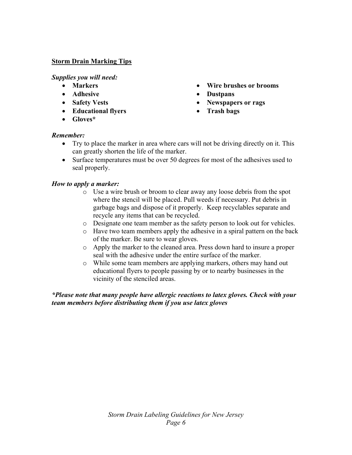# **Storm Drain Marking Tips**

*Supplies you will need:* 

- **Markers**
- **Adhesive**
- **Safety Vests**
- **Educational flyers**
- **Gloves\***
- **Wire brushes or brooms**
- **Dustpans**
- **Newspapers or rags**
- **Trash bags**

## *Remember:*

- Try to place the marker in area where cars will not be driving directly on it. This can greatly shorten the life of the marker.
- Surface temperatures must be over 50 degrees for most of the adhesives used to seal properly.

## *How to apply a marker:*

- o Use a wire brush or broom to clear away any loose debris from the spot where the stencil will be placed. Pull weeds if necessary. Put debris in garbage bags and dispose of it properly. Keep recyclables separate and recycle any items that can be recycled.
- o Designate one team member as the safety person to look out for vehicles.
- o Have two team members apply the adhesive in a spiral pattern on the back of the marker. Be sure to wear gloves.
- o Apply the marker to the cleaned area. Press down hard to insure a proper seal with the adhesive under the entire surface of the marker.
- o While some team members are applying markers, others may hand out educational flyers to people passing by or to nearby businesses in the vicinity of the stenciled areas.

*\*Please note that many people have allergic reactions to latex gloves. Check with your team members before distributing them if you use latex gloves*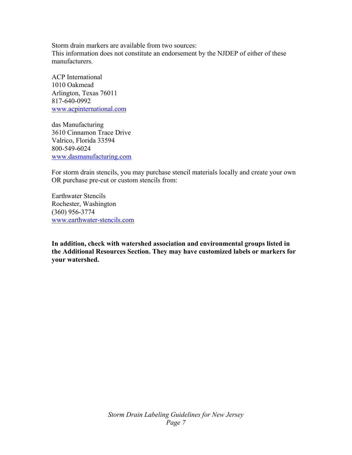Storm drain markers are available from two sources: This information does not constitute an endorsement by the NJDEP of either of these manufacturers.

ACP International 1010 Oakmead Arlington, Texas 76011 817-640-0992 [www.acpinternational.com](http://www.acpinternational.com/)

das Manufacturing 3610 Cinnamon Trace Drive Valrico, Florida 33594 800-549-6024 [www.dasmanufacturing.com](http://www.dasmanufacturing.com/)

For storm drain stencils, you may purchase stencil materials locally and create your own OR purchase pre-cut or custom stencils from:

Earthwater Stencils Rochester, Washington (360) 956-3774 [www.earthwater-stencils.com](http://www.earthwater-stencils.com/)

**In addition, check with watershed association and environmental groups listed in the Additional Resources Section. They may have customized labels or markers for your watershed.**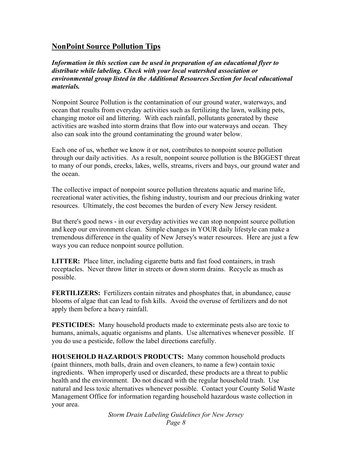# **NonPoint Source Pollution Tips**

*Information in this section can be used in preparation of an educational flyer to distribute while labeling. Check with your local watershed association or environmental group listed in the Additional Resources Section for local educational materials.* 

Nonpoint Source Pollution is the contamination of our ground water, waterways, and ocean that results from everyday activities such as fertilizing the lawn, walking pets, changing motor oil and littering. With each rainfall, pollutants generated by these activities are washed into storm drains that flow into our waterways and ocean. They also can soak into the ground contaminating the ground water below.

Each one of us, whether we know it or not, contributes to nonpoint source pollution through our daily activities. As a result, nonpoint source pollution is the BIGGEST threat to many of our ponds, creeks, lakes, wells, streams, rivers and bays, our ground water and the ocean.

The collective impact of nonpoint source pollution threatens aquatic and marine life, recreational water activities, the fishing industry, tourism and our precious drinking water resources. Ultimately, the cost becomes the burden of every New Jersey resident.

But there's good news - in our everyday activities we can stop nonpoint source pollution and keep our environment clean. Simple changes in YOUR daily lifestyle can make a tremendous difference in the quality of New Jersey's water resources. Here are just a few ways you can reduce nonpoint source pollution.

**LITTER:** Place litter, including cigarette butts and fast food containers, in trash receptacles. Never throw litter in streets or down storm drains. Recycle as much as possible.

**FERTILIZERS:** Fertilizers contain nitrates and phosphates that, in abundance, cause blooms of algae that can lead to fish kills. Avoid the overuse of fertilizers and do not apply them before a heavy rainfall.

**PESTICIDES:** Many household products made to exterminate pests also are toxic to humans, animals, aquatic organisms and plants. Use alternatives whenever possible. If you do use a pesticide, follow the label directions carefully.

**HOUSEHOLD HAZARDOUS PRODUCTS:** Many common household products (paint thinners, moth balls, drain and oven cleaners, to name a few) contain toxic ingredients. When improperly used or discarded, these products are a threat to public health and the environment. Do not discard with the regular household trash. Use natural and less toxic alternatives whenever possible. Contact your County Solid Waste Management Office for information regarding household hazardous waste collection in your area.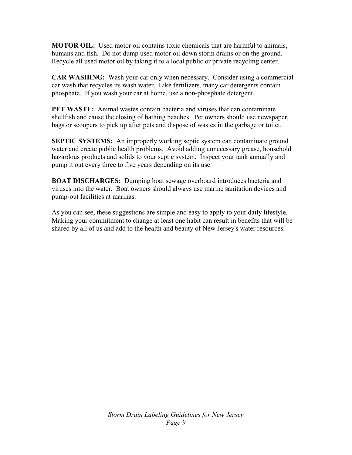**MOTOR OIL:** Used motor oil contains toxic chemicals that are harmful to animals, humans and fish. Do not dump used motor oil down storm drains or on the ground. Recycle all used motor oil by taking it to a local public or private recycling center.

**CAR WASHING:** Wash your car only when necessary. Consider using a commercial car wash that recycles its wash water. Like fertilizers, many car detergents contain phosphate. If you wash your car at home, use a non-phosphate detergent.

**PET WASTE:** Animal wastes contain bacteria and viruses that can contaminate shellfish and cause the closing of bathing beaches. Pet owners should use newspaper, bags or scoopers to pick up after pets and dispose of wastes in the garbage or toilet.

**SEPTIC SYSTEMS:** An improperly working septic system can contaminate ground water and create public health problems. Avoid adding unnecessary grease, household hazardous products and solids to your septic system. Inspect your tank annually and pump it out every three to five years depending on its use.

**BOAT DISCHARGES:** Dumping boat sewage overboard introduces bacteria and viruses into the water. Boat owners should always use marine sanitation devices and pump-out facilities at marinas.

As you can see, these suggestions are simple and easy to apply to your daily lifestyle. Making your commitment to change at least one habit can result in benefits that will be shared by all of us and add to the health and beauty of New Jersey's water resources.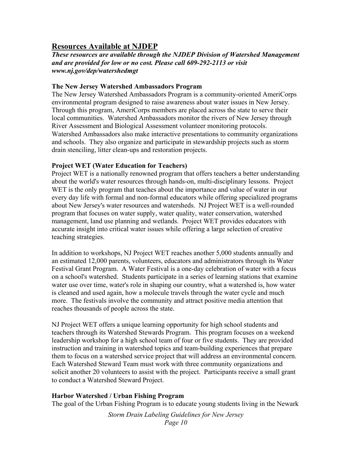# **Resources Available at NJDEP**

*These resources are available through the NJDEP Division of Watershed Management and are provided for low or no cost. Please call 609-292-2113 or visit www.nj.gov/dep/watershedmgt* 

#### **The New Jersey Watershed Ambassadors Program**

The New Jersey Watershed Ambassadors Program is a community-oriented AmeriCorps environmental program designed to raise awareness about water issues in New Jersey. Through this program, AmeriCorps members are placed across the state to serve their local communities. Watershed Ambassadors monitor the rivers of New Jersey through River Assessment and Biological Assessment volunteer monitoring protocols. Watershed Ambassadors also make interactive presentations to community organizations and schools. They also organize and participate in stewardship projects such as storm drain stenciling, litter clean-ups and restoration projects.

#### **Project WET (Water Education for Teachers)**

Project WET is a nationally renowned program that offers teachers a better understanding about the world's water resources through hands-on, multi-disciplinary lessons. Project WET is the only program that teaches about the importance and value of water in our every day life with formal and non-formal educators while offering specialized programs about New Jersey's water resources and watersheds. NJ Project WET is a well-rounded program that focuses on water supply, water quality, water conservation, watershed management, land use planning and wetlands. Project WET provides educators with accurate insight into critical water issues while offering a large selection of creative teaching strategies.

In addition to workshops, NJ Project WET reaches another 5,000 students annually and an estimated 12,000 parents, volunteers, educators and administrators through its Water Festival Grant Program. A Water Festival is a one-day celebration of water with a focus on a school's watershed. Students participate in a series of learning stations that examine water use over time, water's role in shaping our country, what a watershed is, how water is cleaned and used again, how a molecule travels through the water cycle and much more. The festivals involve the community and attract positive media attention that reaches thousands of people across the state.

NJ Project WET offers a unique learning opportunity for high school students and teachers through its Watershed Stewards Program. This program focuses on a weekend leadership workshop for a high school team of four or five students. They are provided instruction and training in watershed topics and team-building experiences that prepare them to focus on a watershed service project that will address an environmental concern. Each Watershed Steward Team must work with three community organizations and solicit another 20 volunteers to assist with the project. Participants receive a small grant to conduct a Watershed Steward Project.

#### **Harbor Watershed / Urban Fishing Program**

The goal of the Urban Fishing Program is to educate young students living in the Newark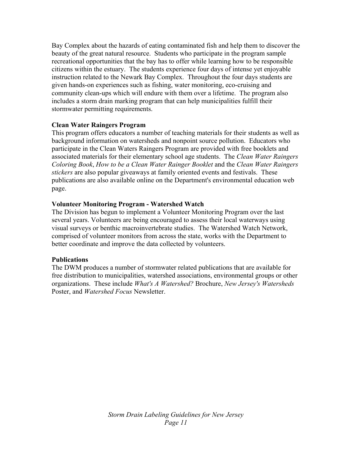Bay Complex about the hazards of eating contaminated fish and help them to discover the beauty of the great natural resource. Students who participate in the program sample recreational opportunities that the bay has to offer while learning how to be responsible citizens within the estuary. The students experience four days of intense yet enjoyable instruction related to the Newark Bay Complex. Throughout the four days students are given hands-on experiences such as fishing, water monitoring, eco-cruising and community clean-ups which will endure with them over a lifetime. The program also includes a storm drain marking program that can help municipalities fulfill their stormwater permitting requirements.

## **Clean Water Raingers Program**

This program offers educators a number of teaching materials for their students as well as background information on watersheds and nonpoint source pollution. Educators who participate in the Clean Waters Raingers Program are provided with free booklets and associated materials for their elementary school age students. The *Clean Water Raingers Coloring Book*, *How to be a Clean Water Rainger Booklet* and the *Clean Water Raingers stickers* are also popular giveaways at family oriented events and festivals. These publications are also available online on the Department's environmental education web page.

# **Volunteer Monitoring Program - Watershed Watch**

The Division has begun to implement a Volunteer Monitoring Program over the last several years. Volunteers are being encouraged to assess their local waterways using visual surveys or benthic macroinvertebrate studies. The Watershed Watch Network, comprised of volunteer monitors from across the state, works with the Department to better coordinate and improve the data collected by volunteers.

## **Publications**

The DWM produces a number of stormwater related publications that are available for free distribution to municipalities, watershed associations, environmental groups or other organizations. These include *What's A Watershed?* Brochure, *New Jersey's Watersheds*  Poster, and *Watershed Focus* Newsletter.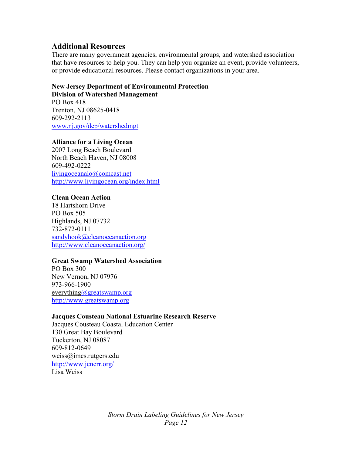# **Additional Resources**

There are many government agencies, environmental groups, and watershed association that have resources to help you. They can help you organize an event, provide volunteers, or provide educational resources. Please contact organizations in your area.

# **New Jersey Department of Environmental Protection Division of Watershed Management**

PO Box 418 Trenton, NJ 08625-0418 609-292-2113 [www.nj.gov/dep/watershedmgt](http://www.nj.gov/dep/watershedmgt)

## **Alliance for a Living Ocean**

2007 Long Beach Boulevard North Beach Haven, NJ 08008 609-492-0222 [livingoceanalo@comcast.net](mailto:livingoceanalo@comcast.net) <http://www.livingocean.org/index.html>

## **Clean Ocean Action**

18 Hartshorn Drive PO Box 505 Highlands, NJ 07732 732-872-0111 [sandyhook@cleanoceanaction.org](mailto:sandyhook@cleanoceanaction.org) <http://www.cleanoceanaction.org/>

## **Great Swamp Watershed Association**

PO Box 300 New Vernon, NJ 07976 973-966-1900 [everything@greatswamp.org](mailto:jsomers@greatswamp.org) [http://www.greatswamp.org](http://www.greatswamp.org/)

## **Jacques Cousteau National Estuarine Research Reserve**

Jacques Cousteau Coastal Education Center 130 Great Bay Boulevard Tuckerton, NJ 08087 609-812-0649 weiss@imcs.rutgers.edu <http://www.jcnerr.org/> Lisa Weiss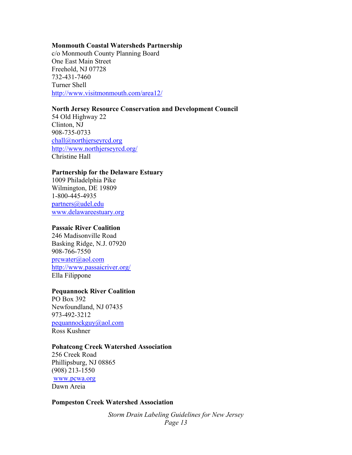#### **Monmouth Coastal Watersheds Partnership**

c/o Monmouth County Planning Board One East Main Street Freehold, NJ 07728 732-431-7460 Turner Shell <http://www.visitmonmouth.com/area12/>

#### **North Jersey Resource Conservation and Development Council**

54 Old Highway 22 Clinton, NJ 908-735-0733 [chall@northjerseyrcd.org](mailto:chall@northjerseyrcd.org) <http://www.northjerseyrcd.org/> Christine Hall

#### **Partnership for the Delaware Estuary**

1009 Philadelphia Pike Wilmington, DE 19809 1-800-445-4935 [partners@udel.edu](mailto:partners@udel.edu) [www.delawareestuary.org](http://www.delawareestuary.org/)

#### **Passaic River Coalition**

246 Madisonville Road Basking Ridge, N.J. 07920 908-766-7550 [prcwater@aol.com](mailto:prcwater@aol.com) <http://www.passaicriver.org/> Ella Filippone

#### **Pequannock River Coalition**

PO Box 392 Newfoundland, NJ 07435 973-492-3212 [pequannockguy@aol.com](mailto:pequannockguy@aol.com) Ross Kushner

#### **Pohatcong Creek Watershed Association**

256 Creek Road Phillipsburg, NJ 08865 (908) 213-1550 [www.pcwa.org](http://www.pcwa.org/)  Dawn Areia

#### **Pompeston Creek Watershed Association**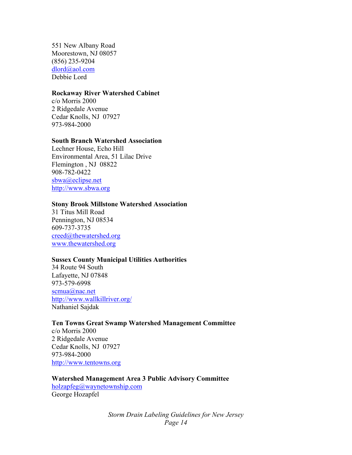551 New Albany Road Moorestown, NJ 08057 (856) 235-9204 [dlord@aol.com](mailto:dlord@aol.com) Debbie Lord

#### **Rockaway River Watershed Cabinet**

c/o Morris 2000 2 Ridgedale Avenue Cedar Knolls, NJ 07927 973-984-2000

#### **South Branch Watershed Association**

Lechner House, Echo Hill Environmental Area, 51 Lilac Drive Flemington , NJ 08822 908-782-0422 [sbwa@eclipse.net](mailto:sbwa@eclipse.net) [http://www.sbwa.org](http://www.sbwa.org/)

#### **Stony Brook Millstone Watershed Association**

31 Titus Mill Road Pennington, NJ 08534 609-737-3735 [creed@thewatershed.org](mailto:creed@thewatershed.org) [www.thewatershed.org](http://www.thewatershed.org/)

#### **Sussex County Municipal Utilities Authorities**

34 Route 94 South Lafayette, NJ 07848 973-579-6998 [scmua@nac.net](mailto:scmua@nac.net) <http://www.wallkillriver.org/> Nathaniel Sajdak

#### **Ten Towns Great Swamp Watershed Management Committee**

c/o Morris 2000 2 Ridgedale Avenue Cedar Knolls, NJ 07927 973-984-2000 [http://www.tentowns.org](http://www.tentowns.org/)

#### **Watershed Management Area 3 Public Advisory Committee**

[holzapfeg@waynetownship.com](mailto:holzapfeg@waynetownship.com) George Hozapfel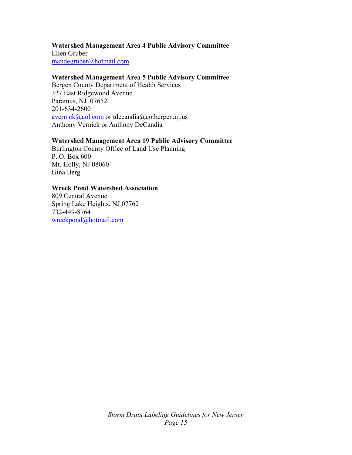#### **Watershed Management Area 4 Public Advisory Committee**

Ellen Gruber [mandegruber@hotmail.com](mailto:mandegruber@hotmail.com)

#### **Watershed Management Area 5 Public Advisory Committee**

Bergen County Department of Health Services 327 East Ridgewood Avenue Paramus, NJ 07652 201-634-2600 [avernick@aol.com](mailto:avernick@aol.com) or tdecandia@co.bergen.nj.us Anthony Vernick or Anthony DeCandia

#### **Watershed Management Area 19 Public Advisory Committee**

Burlington County Office of Land Use Planning P. O. Box 600 Mt. Holly, NJ 08060 Gina Berg

#### **Wreck Pond Watershed Association**

809 Central Avenue Spring Lake Heights, NJ 07762 732-449-8764 [wreckpond@hotmail.com](mailto:wreckpond@hotmail.com)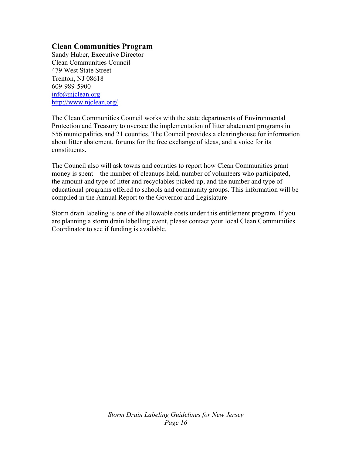# **Clean Communities Program**

Sandy Huber, Executive Director Clean Communities Council 479 West State Street Trenton, NJ 08618 609-989-5900 [info@njclean.org](mailto:info@njclean.org) <http://www.njclean.org/>

The Clean Communities Council works with the state departments of Environmental Protection and Treasury to oversee the implementation of litter abatement programs in 556 municipalities and 21 counties. The Council provides a clearinghouse for information about litter abatement, forums for the free exchange of ideas, and a voice for its constituents.

The Council also will ask towns and counties to report how Clean Communities grant money is spent—the number of cleanups held, number of volunteers who participated, the amount and type of litter and recyclables picked up, and the number and type of educational programs offered to schools and community groups. This information will be compiled in the Annual Report to the Governor and Legislature

Storm drain labeling is one of the allowable costs under this entitlement program. If you are planning a storm drain labelling event, please contact your local Clean Communities Coordinator to see if funding is available.